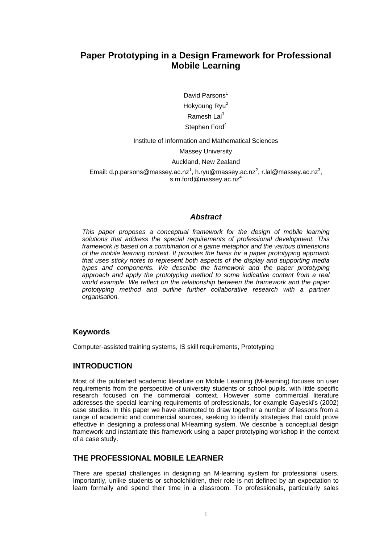# **Paper Prototyping in a Design Framework for Professional Mobile Learning**

David Parsons Hokyoung Ryu<sup>2</sup> Ramesh La $l^3$ Stephen Ford<sup>4</sup>

Institute of Information and Mathematical Sciences

Massey University

Auckland, New Zealand

Email: d.p.parsons@massey.ac.nz<sup>1</sup>, h.ryu@massey.ac.nz<sup>2</sup>, r.lal@massey.ac.nz<sup>3</sup>, s.m.ford@massey.ac.nz<sup>4</sup>

#### *Abstract*

*This paper proposes a conceptual framework for the design of mobile learning solutions that address the special requirements of professional development. This framework is based on a combination of a game metaphor and the various dimensions of the mobile learning context. It provides the basis for a paper prototyping approach that uses sticky notes to represent both aspects of the display and supporting media types and components. We describe the framework and the paper prototyping approach and apply the prototyping method to some indicative content from a real world example. We reflect on the relationship between the framework and the paper prototyping method and outline further collaborative research with a partner organisation.* 

#### **Keywords**

Computer-assisted training systems, IS skill requirements, Prototyping

#### **INTRODUCTION**

Most of the published academic literature on Mobile Learning (M-learning) focuses on user requirements from the perspective of university students or school pupils, with little specific research focused on the commercial context. However some commercial literature addresses the special learning requirements of professionals, for example Gayeski's (2002) case studies. In this paper we have attempted to draw together a number of lessons from a range of academic and commercial sources, seeking to identify strategies that could prove effective in designing a professional M-learning system. We describe a conceptual design framework and instantiate this framework using a paper prototyping workshop in the context of a case study.

#### **THE PROFESSIONAL MOBILE LEARNER**

There are special challenges in designing an M-learning system for professional users. Importantly, unlike students or schoolchildren, their role is not defined by an expectation to learn formally and spend their time in a classroom. To professionals, particularly sales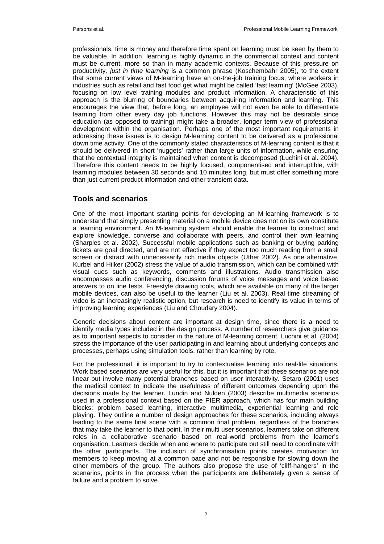professionals, time is money and therefore time spent on learning must be seen by them to be valuable. In addition, learning is highly dynamic in the commercial context and content must be current, more so than in many academic contexts. Because of this pressure on productivity*, just in time learning* is a common phrase (Koschembahr 2005), to the extent that some current views of M-learning have an on-the-job training focus, where workers in industries such as retail and fast food get what might be called 'fast learning' (McGee 2003), focusing on low level training modules and product information. A characteristic of this approach is the blurring of boundaries between acquiring information and learning. This encourages the view that, before long, an employee will not even be able to differentiate learning from other every day job functions. However this may not be desirable since education (as opposed to training) might take a broader, longer term view of professional development within the organisation. Perhaps one of the most important requirements in addressing these issues is to design M-learning content to be delivered as a professional down time activity. One of the commonly stated characteristics of M-learning content is that it should be delivered in short 'nuggets' rather than large units of information, while ensuring that the contextual integrity is maintained when content is decomposed (Luchini et al. 2004). Therefore this content needs to be highly focused, componentised and interruptible, with learning modules between 30 seconds and 10 minutes long, but must offer something more than just current product information and other transient data.

### **Tools and scenarios**

One of the most important starting points for developing an M-learning framework is to understand that simply presenting material on a mobile device does not on its own constitute a learning environment. An M-learning system should enable the learner to construct and explore knowledge, converse and collaborate with peers, and control their own learning (Sharples et al. 2002). Successful mobile applications such as banking or buying parking tickets are goal directed, and are not effective if they expect too much reading from a small screen or distract with unnecessarily rich media objects (Uther 2002). As one alternative, Kurbel and Hilker (2002) stress the value of audio transmission, which can be combined with visual cues such as keywords, comments and illustrations. Audio transmission also encompasses audio conferencing, discussion forums of voice messages and voice based answers to on line tests. Freestyle drawing tools, which are available on many of the larger mobile devices, can also be useful to the learner (Liu et al. 2003). Real time streaming of video is an increasingly realistic option, but research is need to identify its value in terms of improving learning experiences (Liu and Choudary 2004).

Generic decisions about content are important at design time, since there is a need to identify media types included in the design process. A number of researchers give guidance as to important aspects to consider in the nature of M-learning content. Luchini et al. (2004) stress the importance of the user participating in and learning about underlying concepts and processes, perhaps using simulation tools, rather than learning by rote.

For the professional, it is important to try to contextualise learning into real-life situations. Work based scenarios are very useful for this, but it is important that these scenarios are not linear but involve many potential branches based on user interactivity. Setaro (2001) uses the medical context to indicate the usefulness of different outcomes depending upon the decisions made by the learner. Lundin and Nulden (2003) describe multimedia scenarios used in a professional context based on the PIER approach, which has four main building blocks: problem based learning, interactive multimedia, experiential learning and role playing. They outline a number of design approaches for these scenarios, including always leading to the same final scene with a common final problem, regardless of the branches that may take the learner to that point. In their multi user scenarios, learners take on different roles in a collaborative scenario based on real-world problems from the learner's organisation. Learners decide when and where to participate but still need to coordinate with the other participants. The inclusion of synchronisation points creates motivation for members to keep moving at a common pace and not be responsible for slowing down the other members of the group. The authors also propose the use of 'cliff-hangers' in the scenarios, points in the process when the participants are deliberately given a sense of failure and a problem to solve.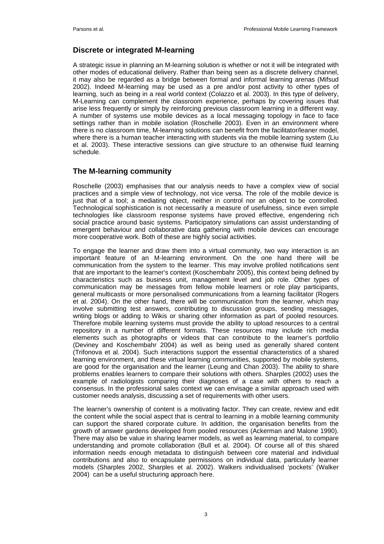# **Discrete or integrated M-learning**

A strategic issue in planning an M-learning solution is whether or not it will be integrated with other modes of educational delivery. Rather than being seen as a discrete delivery channel, it may also be regarded as a bridge between formal and informal learning arenas (Mifsud 2002). Indeed M-learning may be used as a pre and/or post activity to other types of learning, such as being in a real world context (Colazzo et al. 2003). In this type of delivery, M-Learning can complement the classroom experience, perhaps by covering issues that arise less frequently or simply by reinforcing previous classroom learning in a different way. A number of systems use mobile devices as a local messaging topology in face to face settings rather than in mobile isolation (Roschelle 2003). Even in an environment where there is no classroom time, M-learning solutions can benefit from the facilitator/leaner model, where there is a human teacher interacting with students via the mobile learning system (Liu et al. 2003). These interactive sessions can give structure to an otherwise fluid learning schedule.

### **The M-learning community**

Roschelle (2003) emphasises that our analysis needs to have a complex view of social practices and a simple view of technology, not vice versa. The role of the mobile device is just that of a tool; a mediating object, neither in control nor an object to be controlled. Technological sophistication is not necessarily a measure of usefulness, since even simple technologies like classroom response systems have proved effective, engendering rich social practice around basic systems. Participatory simulations can assist understanding of emergent behaviour and collaborative data gathering with mobile devices can encourage more cooperative work. Both of these are highly social activities.

To engage the learner and draw them into a virtual community, two way interaction is an important feature of an M-learning environment. On the one hand there will be communication from the system to the learner. This may involve profiled notifications sent that are important to the learner's context (Koschembahr 2005), this context being defined by characteristics such as business unit, management level and job role. Other types of communication may be messages from fellow mobile learners or role play participants, general multicasts or more personalised communications from a learning facilitator (Rogers et al. 2004). On the other hand, there will be communication from the learner, which may involve submitting test answers, contributing to discussion groups, sending messages, writing blogs or adding to Wikis or sharing other information as part of pooled resources. Therefore mobile learning systems must provide the ability to upload resources to a central repository in a number of different formats. These resources may include rich media elements such as photographs or videos that can contribute to the learner's portfolio (Deviney and Koschembahr 2004) as well as being used as generally shared content (Trifonova et al. 2004). Such interactions support the essential characteristics of a shared learning environment, and these virtual learning communities, supported by mobile systems, are good for the organisation and the learner (Leung and Chan 2003). The ability to share problems enables learners to compare their solutions with others. Sharples (2002) uses the example of radiologists comparing their diagnoses of a case with others to reach a consensus. In the professional sales context we can envisage a similar approach used with customer needs analysis, discussing a set of requirements with other users.

The learner's ownership of content is a motivating factor. They can create, review and edit the content while the social aspect that is central to learning in a mobile learning community can support the shared corporate culture. In addition, the organisation benefits from the growth of answer gardens developed from pooled resources (Ackerman and Malone 1990). There may also be value in sharing learner models, as well as learning material, to compare understanding and promote collaboration (Bull et al. 2004). Of course all of this shared information needs enough metadata to distinguish between core material and individual contributions and also to encapsulate permissions on individual data, particularly learner models (Sharples 2002, Sharples et al. 2002). Walkers individualised 'pockets' (Walker 2004) can be a useful structuring approach here.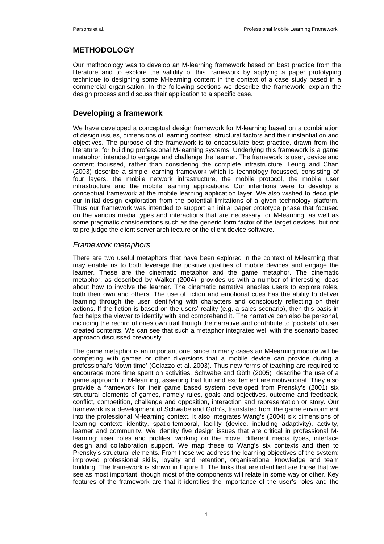# **METHODOLOGY**

Our methodology was to develop an M-learning framework based on best practice from the literature and to explore the validity of this framework by applying a paper prototyping technique to designing some M-learning content in the context of a case study based in a commercial organisation. In the following sections we describe the framework, explain the design process and discuss their application to a specific case.

# **Developing a framework**

We have developed a conceptual design framework for M-learning based on a combination of design issues, dimensions of learning context, structural factors and their instantiation and objectives. The purpose of the framework is to encapsulate best practice, drawn from the literature, for building professional M-learning systems. Underlying this framework is a game metaphor, intended to engage and challenge the learner. The framework is user, device and content focussed, rather than considering the complete infrastructure. Leung and Chan (2003) describe a simple learning framework which is technology focussed, consisting of four layers, the mobile network infrastructure, the mobile protocol, the mobile user infrastructure and the mobile learning applications. Our intentions were to develop a conceptual framework at the mobile learning application layer. We also wished to decouple our initial design exploration from the potential limitations of a given technology platform. Thus our framework was intended to support an initial paper prototype phase that focused on the various media types and interactions that are necessary for M-learning, as well as some pragmatic considerations such as the generic form factor of the target devices, but not to pre-judge the client server architecture or the client device software.

#### *Framework metaphors*

There are two useful metaphors that have been explored in the context of M-learning that may enable us to both leverage the positive qualities of mobile devices and engage the learner. These are the cinematic metaphor and the game metaphor. The cinematic metaphor, as described by Walker (2004), provides us with a number of interesting ideas about how to involve the learner. The cinematic narrative enables users to explore roles, both their own and others. The use of fiction and emotional cues has the ability to deliver learning through the user identifying with characters and consciously reflecting on their actions. If the fiction is based on the users' reality (e.g. a sales scenario), then this basis in fact helps the viewer to identify with and comprehend it. The narrative can also be personal, including the record of ones own trail though the narrative and contribute to 'pockets' of user created contents. We can see that such a metaphor integrates well with the scenario based approach discussed previously.

The game metaphor is an important one, since in many cases an M-learning module will be competing with games or other diversions that a mobile device can provide during a professional's 'down time' (Colazzo et al. 2003). Thus new forms of teaching are required to encourage more time spent on activities. Schwabe and Göth (2005) describe the use of a game approach to M-learning, asserting that fun and excitement are motivational. They also provide a framework for their game based system developed from Prensky's (2001) six structural elements of games, namely rules, goals and objectives, outcome and feedback, conflict, competition, challenge and opposition, interaction and representation or story. Our framework is a development of Schwabe and Göth's, translated from the game environment into the professional M-learning context. It also integrates Wang's (2004) six dimensions of learning context: identity, spatio-temporal, facility (device, including adaptivity), activity, learner and community. We identity five design issues that are critical in professional Mlearning: user roles and profiles, working on the move, different media types, interface design and collaboration support. We map these to Wang's six contexts and then to Prensky's structural elements. From these we address the learning objectives of the system: improved professional skills, loyalty and retention, organisational knowledge and team building. The framework is shown in Figure 1. The links that are identified are those that we see as most important, though most of the components will relate in some way or other. Key features of the framework are that it identifies the importance of the user's roles and the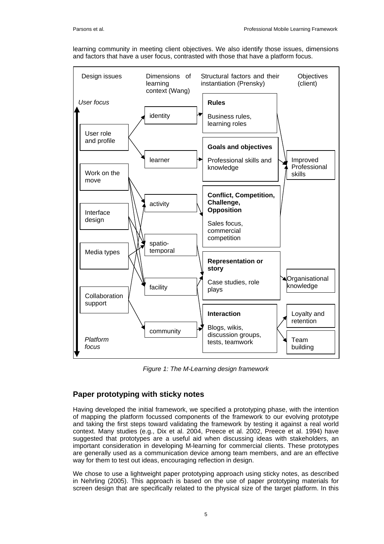learning community in meeting client objectives. We also identify those issues, dimensions and factors that have a user focus, contrasted with those that have a platform focus.



*Figure 1: The M-Learning design framework* 

# **Paper prototyping with sticky notes**

Having developed the initial framework, we specified a prototyping phase, with the intention of mapping the platform focussed components of the framework to our evolving prototype and taking the first steps toward validating the framework by testing it against a real world context. Many studies (e.g., Dix et al. 2004, Preece et al. 2002, Preece et al. 1994) have suggested that prototypes are a useful aid when discussing ideas with stakeholders, an important consideration in developing M-learning for commercial clients. These prototypes are generally used as a communication device among team members, and are an effective way for them to test out ideas, encouraging reflection in design.

We chose to use a lightweight paper prototyping approach using sticky notes, as described in Nehrling (2005). This approach is based on the use of paper prototyping materials for screen design that are specifically related to the physical size of the target platform. In this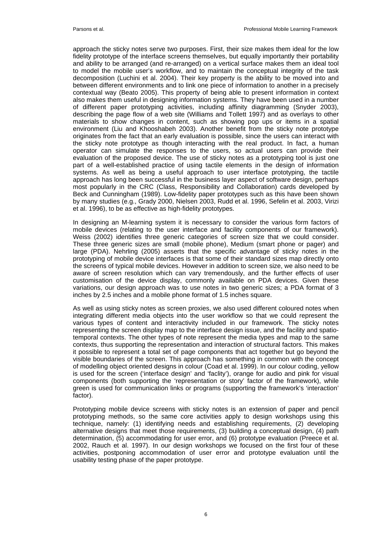approach the sticky notes serve two purposes. First, their size makes them ideal for the low fidelity prototype of the interface screens themselves, but equally importantly their portability and ability to be arranged (and re-arranged) on a vertical surface makes them an ideal tool to model the mobile user's workflow, and to maintain the conceptual integrity of the task decomposition (Luchini et al. 2004). Their key property is the ability to be moved into and between different environments and to link one piece of information to another in a precisely contextual way (Beato 2005). This property of being able to present information in context also makes them useful in designing information systems. They have been used in a number of different paper prototyping activities, including affinity diagramming (Snyder 2003), describing the page flow of a web site (Williams and Tollett 1997) and as overlays to other materials to show changes in content, such as showing pop ups or items in a spatial environment (Liu and Khooshabeh 2003). Another benefit from the sticky note prototype originates from the fact that an early evaluation is possible, since the users can interact with the sticky note prototype as though interacting with the real product. In fact, a human operator can simulate the responses to the users, so actual users can provide their evaluation of the proposed device. The use of sticky notes as a prototyping tool is just one part of a well-established practice of using tactile elements in the design of information systems. As well as being a useful approach to user interface prototyping, the tactile approach has long been successful in the business layer aspect of software design, perhaps most popularly in the CRC (Class, Responsibility and Collaboration) cards developed by Beck and Cunningham (1989). Low-fidelity paper prototypes such as this have been shown by many studies (e.g., Grady 2000, Nielsen 2003, Rudd et al. 1996, Sefelin et al. 2003, Virizi et al. 1996), to be as effective as high-fidelity prototypes*.* 

In designing an M-learning system it is necessary to consider the various form factors of mobile devices (relating to the user interface and facility components of our framework). Weiss (2002) identifies three generic categories of screen size that we could consider. These three generic sizes are small (mobile phone), Medium (smart phone or pager) and large (PDA). Nehrling (2005) asserts that the specific advantage of sticky notes in the prototyping of mobile device interfaces is that some of their standard sizes map directly onto the screens of typical mobile devices. However in addition to screen size, we also need to be aware of screen resolution which can vary tremendously, and the further effects of user customisation of the device display, commonly available on PDA devices. Given these variations, our design approach was to use notes in two generic sizes; a PDA format of 3 inches by 2.5 inches and a mobile phone format of 1.5 inches square.

As well as using sticky notes as screen proxies, we also used different coloured notes when integrating different media objects into the user workflow so that we could represent the various types of content and interactivity included in our framework. The sticky notes representing the screen display map to the interface design issue, and the facility and spatiotemporal contexts. The other types of note represent the media types and map to the same contexts, thus supporting the representation and interaction of structural factors. This makes it possible to represent a total set of page components that act together but go beyond the visible boundaries of the screen. This approach has something in common with the concept of modelling object oriented designs in colour (Coad et al. 1999). In our colour coding, yellow is used for the screen ('interface design' and 'faclity'), orange for audio and pink for visual components (both supporting the 'representation or story' factor of the framework), while green is used for communication links or programs (supporting the framework's 'interaction' factor).

Prototyping mobile device screens with sticky notes is an extension of paper and pencil prototyping methods, so the same core activities apply to design workshops using this technique, namely: (1) identifying needs and establishing requirements, (2) developing alternative designs that meet those requirements, (3) building a conceptual design, (4) path determination, (5) accommodating for user error, and (6) prototype evaluation (Preece et al. 2002, Rauch et al. 1997). In our design workshops we focused on the first four of these activities, postponing accommodation of user error and prototype evaluation until the usability testing phase of the paper prototype.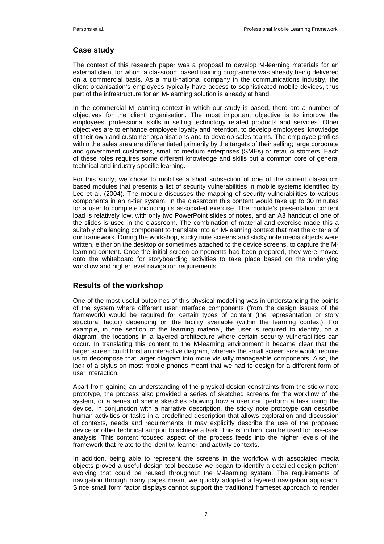# **Case study**

The context of this research paper was a proposal to develop M-learning materials for an external client for whom a classroom based training programme was already being delivered on a commercial basis. As a multi-national company in the communications industry, the client organisation's employees typically have access to sophisticated mobile devices, thus part of the infrastructure for an M-learning solution is already at hand.

In the commercial M-learning context in which our study is based, there are a number of objectives for the client organisation. The most important objective is to improve the employees' professional skills in selling technology related products and services. Other objectives are to enhance employee loyalty and retention, to develop employees' knowledge of their own and customer organisations and to develop sales teams. The employee profiles within the sales area are differentiated primarily by the targets of their selling; large corporate and government customers, small to medium enterprises (SMEs) or retail customers. Each of these roles requires some different knowledge and skills but a common core of general technical and industry specific learning.

For this study, we chose to mobilise a short subsection of one of the current classroom based modules that presents a list of security vulnerabilities in mobile systems identified by Lee et al. (2004). The module discusses the mapping of security vulnerabilities to various components in an n-tier system. In the classroom this content would take up to 30 minutes for a user to complete including its associated exercise. The module's presentation content load is relatively low, with only two PowerPoint slides of notes, and an A3 handout of one of the slides is used in the classroom. The combination of material and exercise made this a suitably challenging component to translate into an M-learning context that met the criteria of our framework. During the workshop, sticky note screens and sticky note media objects were written, either on the desktop or sometimes attached to the device screens, to capture the Mlearning content. Once the initial screen components had been prepared, they were moved onto the whiteboard for storyboarding activities to take place based on the underlying workflow and higher level navigation requirements.

# **Results of the workshop**

One of the most useful outcomes of this physical modelling was in understanding the points of the system where different user interface components (from the design issues of the framework) would be required for certain types of content (the representation or story structural factor) depending on the facility available (within the learning context). For example, in one section of the learning material, the user is required to identify, on a diagram, the locations in a layered architecture where certain security vulnerabilities can occur. In translating this content to the M-learning environment it became clear that the larger screen could host an interactive diagram, whereas the small screen size would require us to decompose that larger diagram into more visually manageable components. Also, the lack of a stylus on most mobile phones meant that we had to design for a different form of user interaction.

Apart from gaining an understanding of the physical design constraints from the sticky note prototype, the process also provided a series of sketched screens for the workflow of the system, or a series of scene sketches showing how a user can perform a task using the device. In conjunction with a narrative description, the sticky note prototype can describe human activities or tasks in a predefined description that allows exploration and discussion of contexts, needs and requirements. It may explicitly describe the use of the proposed device or other technical support to achieve a task. This is, in turn, can be used for use-case analysis. This content focused aspect of the process feeds into the higher levels of the framework that relate to the identity, learner and activity contexts.

In addition, being able to represent the screens in the workflow with associated media objects proved a useful design tool because we began to identify a detailed design pattern evolving that could be reused throughout the M-learning system. The requirements of navigation through many pages meant we quickly adopted a layered navigation approach. Since small form factor displays cannot support the traditional frameset approach to render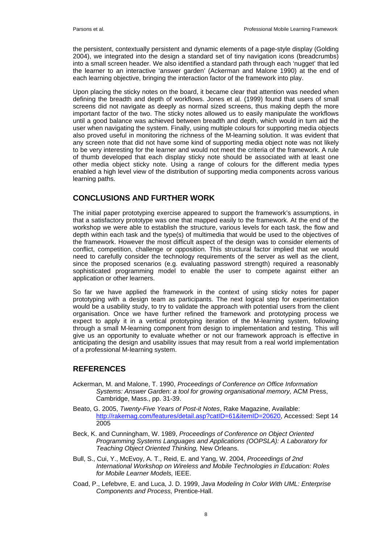the persistent, contextually persistent and dynamic elements of a page-style display (Golding 2004), we integrated into the design a standard set of tiny navigation icons (breadcrumbs) into a small screen header. We also identified a standard path through each 'nugget' that led the learner to an interactive 'answer garden' (Ackerman and Malone 1990) at the end of each learning objective, bringing the interaction factor of the framework into play.

Upon placing the sticky notes on the board, it became clear that attention was needed when defining the breadth and depth of workflows. Jones et al. (1999) found that users of small screens did not navigate as deeply as normal sized screens, thus making depth the more important factor of the two. The sticky notes allowed us to easily manipulate the workflows until a good balance was achieved between breadth and depth, which would in turn aid the user when navigating the system. Finally, using multiple colours for supporting media objects also proved useful in monitoring the richness of the M-learning solution. It was evident that any screen note that did not have some kind of supporting media object note was not likely to be very interesting for the learner and would not meet the criteria of the framework. A rule of thumb developed that each display sticky note should be associated with at least one other media object sticky note. Using a range of colours for the different media types enabled a high level view of the distribution of supporting media components across various learning paths.

#### **CONCLUSIONS AND FURTHER WORK**

The initial paper prototyping exercise appeared to support the framework's assumptions, in that a satisfactory prototype was one that mapped easily to the framework. At the end of the workshop we were able to establish the structure, various levels for each task, the flow and depth within each task and the type(s) of multimedia that would be used to the objectives of the framework. However the most difficult aspect of the design was to consider elements of conflict, competition, challenge or opposition. This structural factor implied that we would need to carefully consider the technology requirements of the server as well as the client, since the proposed scenarios (e.g. evaluating password strength) required a reasonably sophisticated programming model to enable the user to compete against either an application or other learners.

So far we have applied the framework in the context of using sticky notes for paper prototyping with a design team as participants. The next logical step for experimentation would be a usability study, to try to validate the approach with potential users from the client organisation. Once we have further refined the framework and prototyping process we expect to apply it in a vertical prototyping iteration of the M-learning system, following through a small M-learning component from design to implementation and testing. This will give us an opportunity to evaluate whether or not our framework approach is effective in anticipating the design and usability issues that may result from a real world implementation of a professional M-learning system.

#### **REFERENCES**

- Ackerman, M. and Malone, T. 1990, *Proceedings of Conference on Office Information Systems: Answer Garden: a tool for growing organisational memory,* ACM Press, Cambridge, Mass., pp. 31-39.
- Beato, G. 2005, *Twenty-Five Years of Post-it Notes*, Rake Magazine, Available: [http://rakemag.com/features/detail.asp?catID=61&itemID=20620,](http://rakemag.com/features/detail.asp?catID=61&itemID=20620) Accessed: Sept 14 2005
- Beck, K. and Cunningham, W. 1989, *Proceedings of Conference on Object Oriented Programming Systems Languages and Applications (OOPSLA): A Laboratory for Teaching Object Oriented Thinking,* New Orleans.
- Bull, S., Cui, Y., McEvoy, A. T., Reid, E. and Yang, W. 2004, *Proceedings of 2nd International Workshop on Wireless and Mobile Technologies in Education: Roles for Mobile Learner Models,* IEEE.
- Coad, P., Lefebvre, E. and Luca, J. D. 1999, *Java Modeling In Color With UML: Enterprise Components and Process,* Prentice-Hall.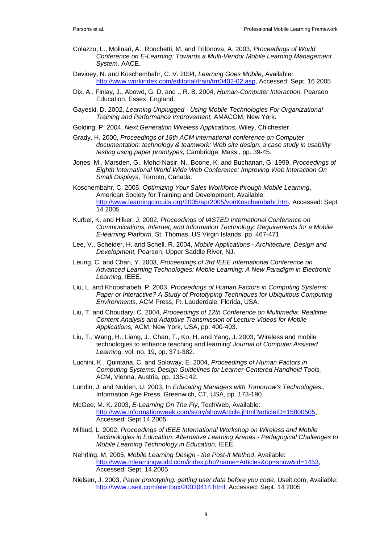- Colazzo, L., Molinari, A., Ronchetti, M. and Trifonova, A. 2003, *Proceedings of World Conference on E-Learning: Towards a Multi-Vendor Mobile Learning Management System,* AACE.
- Deviney, N. and Koschembahr, C. V. 2004, *Learning Goes Mobile*, Available: [http://www.workindex.com/editorial/train/trn0402-02.asp,](http://www.workindex.com/editorial/train/trn0402-02.asp) Accessed: Sept. 16 2005
- Dix, A., Finlay, J., Abowd, G. D. and ., R. B. 2004, *Human-Computer Interaction,* Pearson Education, Essex, England.
- Gayeski, D. 2002, *Learning Unplugged Using Mobile Technologies For Organizational Training and Performance Improvement,* AMACOM, New York.
- Golding, P. 2004, *Next Generation Wireless Applications,* Wiley, Chichester.
- Grady, H. 2000, *Proceedings of 18th ACM international conference on Computer documentation: technology & teamwork: Web site design: a case study in usability testing using paper prototypes,* Cambridge, Mass., pp. 39-45.
- Jones, M., Marsden, G., Mohd-Nasir, N., Boone, K. and Buchanan, G. 1999, *Proceedings of Eighth International World Wide Web Conference: Improving Web Interaction On Small Displays,* Toronto, Canada.
- Koschembahr, C. 2005, *Optimizing Your Sales Workforce through Mobile Learning*, American Society for Training and Development, Available: [http://www.learningcircuits.org/2005/apr2005/vonKoschembahr.htm,](http://www.learningcircuits.org/2005/apr2005/vonKoschembahr.htm) Accessed: Sept 14 2005
- Kurbel, K. and Hilker, J. 2002, *Proceedings of IASTED International Conference on Communications, Internet, and Information Technology: Requirements for a Mobile E-learning Platform,* St. Thomas, US Virgin Islands, pp. 467-471.
- Lee, V., Scheider, H. and Schell, R. 2004, *Mobile Applications Architecture, Design and Development,* Pearson, Upper Saddle River, NJ.
- Leung, C. and Chan, Y. 2003, *Proceedings of 3rd IEEE International Conference on Advanced Learning Technologies: Mobile Learning: A New Paradigm in Electronic Learning,* IEEE.
- Liu, L. and Khooshabeh, P. 2003, *Proceedings of Human Factors in Computing Systems: Paper or Interactive? A Study of Prototyping Techniques for Ubiquitous Computing Environments,* ACM Press, Ft. Lauderdale, Florida, USA.
- Liu, T. and Choudary, C. 2004, *Proceedings of 12th Conference on Multimedia: Realtime Content Analysis and Adaptive Transmission of Lecture Videos for Mobile Applications,* ACM, New York, USA, pp. 400-403.
- Liu, T., Wang, H., Liang, J., Chan, T., Ko, H. and Yang, J. 2003, 'Wireless and mobile technologies to enhance teaching and learning' *Journal of Computer Assisted Learning,* vol. no. 19**,** pp. 371-382.
- Luchini, K., Quintana, C. and Soloway, E. 2004, *Proceedings of Human Factors in Computing Systems: Design Guidelines for Learner-Centered Handheld Tools,* ACM, Vienna, Austria, pp. 135-142.
- Lundin, J. and Nulden, U. 2003, In *Educating Managers with Tomorrow's Technologies.*, Information Age Press, Greenwich, CT, USA, pp. 173-190.
- McGee, M. K. 2003, *E-Learning On The Fly*, TechWeb, Available: [http://www.informationweek.com/story/showArticle.jhtml?articleID=15800505,](http://www.informationweek.com/story/showArticle.jhtml?articleID=15800505) Accessed: Sept 14 2005
- Mifsud, L. 2002, *Proceedings of IEEE International Workshop on Wireless and Mobile Technologies in Education: Alternative Learning Arenas - Pedagogical Challenges to Mobile Learning Technology in Education,* IEEE.
- Nehrling, M. 2005, *Mobile Learning Design the Post-It Method*, Available: [http://www.mlearningworld.com/index.php?name=Articles&op=show&id=1453,](http://www.mlearningworld.com/index.php?name=Articles&op=show&id=1453) Accessed: Sept. 14 2005
- Nielsen, J. 2003, *Paper prototyping: getting user data before you code*, Useit.com, Available: [http://www.useit.com/alertbox/20030414.html,](http://www.useit.com/alertbox/20030414.html) Accessed: Sept. 14 2005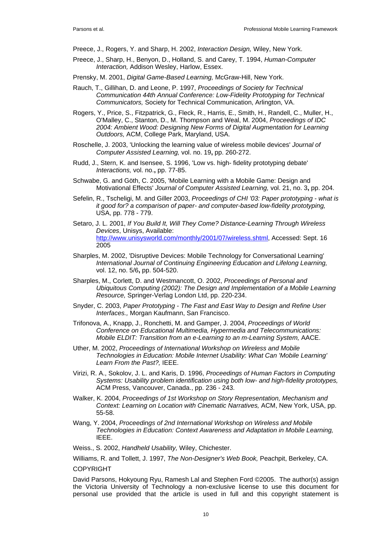Preece, J., Rogers, Y. and Sharp, H. 2002, *Interaction Design,* Wiley, New York.

- Preece, J., Sharp, H., Benyon, D., Holland, S. and Carey, T. 1994, *Human-Computer Interaction,* Addison Wesley, Harlow, Essex.
- Prensky, M. 2001, *Digital Game-Based Learning,* McGraw-Hill, New York.
- Rauch, T., Gillihan, D. and Leone, P. 1997, *Proceedings of Society for Technical Communication 44th Annual Conference: Low-Fidelity Prototyping for Technical Communicators,* Society for Technical Communication, Arlington, VA.
- Rogers, Y., Price, S., Fitzpatrick, G., Fleck, R., Harris, E., Smith, H., Randell, C., Muller, H., O'Malley, C., Stanton, D., M. Thompson and Weal, M. 2004, *Proceedings of IDC 2004: Ambient Wood: Designing New Forms of Digital Augmentation for Learning Outdoors,* ACM, College Park, Maryland, USA.
- Roschelle, J. 2003, 'Unlocking the learning value of wireless mobile devices' *Journal of Computer Assisted Learning,* vol. no. 19**,** pp. 260-272.
- Rudd, J., Stern, K. and Isensee, S. 1996, 'Low vs. high- fidelity prototyping debate' *Interactions,* vol. no.**,** pp. 77-85.
- Schwabe, G. and Göth, C. 2005, 'Mobile Learning with a Mobile Game: Design and Motivational Effects' *Journal of Computer Assisted Learning,* vol. 21, no. 3**,** pp. 204.
- Sefelin, R., Tscheligi, M. and Giller 2003, *Proceedings of CHI '03: Paper prototyping what is it good for? a comparison of paper- and computer-based low-fidelity prototyping,* USA, pp. 778 - 779.
- Setaro, J. L. 2001, *If You Build It, Will They Come? Distance-Learning Through Wireless Devices*, Unisys, Available: <http://www.unisysworld.com/monthly/2001/07/wireless.shtml>, Accessed: Sept. 16 2005
- Sharples, M. 2002, 'Disruptive Devices: Mobile Technology for Conversational Learning' *International Journal of Continuing Engineering Education and Lifelong Learning,* vol. 12, no. 5/6**,** pp. 504-520.
- Sharples, M., Corlett, D. and Westmancott, O. 2002, *Proceedings of Personal and Ubiquitous Computing (2002): The Design and Implementation of a Mobile Learning Resource,* Springer-Verlag London Ltd, pp. 220-234.
- Snyder, C. 2003, *Paper Prototyping The Fast and East Way to Design and Refine User Interfaces.,* Morgan Kaufmann, San Francisco.
- Trifonova, A., Knapp, J., Ronchetti, M. and Gamper, J. 2004, *Proceedings of World Conference on Educational Multimedia, Hypermedia and Telecommunications: Mobile ELDIT: Transition from an e-Learning to an m-Learning System,* AACE.
- Uther, M. 2002, *Proceedings of International Workshop on Wireless and Mobile Technologies in Education: Mobile Internet Usability: What Can 'Mobile Learning' Learn From the Past?,* IEEE.
- Virizi, R. A., Sokolov, J. L. and Karis, D. 1996, *Proceedings of Human Factors in Computing Systems: Usability problem identification using both low- and high-fidelity prototypes,* ACM Press, Vancouver, Canada., pp. 236 - 243.
- Walker, K. 2004, *Proceedings of 1st Workshop on Story Representation, Mechanism and Context: Learning on Location with Cinematic Narratives,* ACM, New York, USA, pp. 55-58.
- Wang, Y. 2004, *Proceedings of 2nd International Workshop on Wireless and Mobile Technologies in Education: Context Awareness and Adaptation in Mobile Learning,* IEEE.
- Weiss., S. 2002, *Handheld Usability,* Wiley, Chichester.

Williams, R. and Tollett, J. 1997, *The Non-Designer's Web Book,* Peachpit, Berkeley, CA.

COPYRIGHT

David Parsons, Hokyoung Ryu, Ramesh Lal and Stephen Ford ©2005. The author(s) assign the Victoria University of Technology a non-exclusive license to use this document for personal use provided that the article is used in full and this copyright statement is